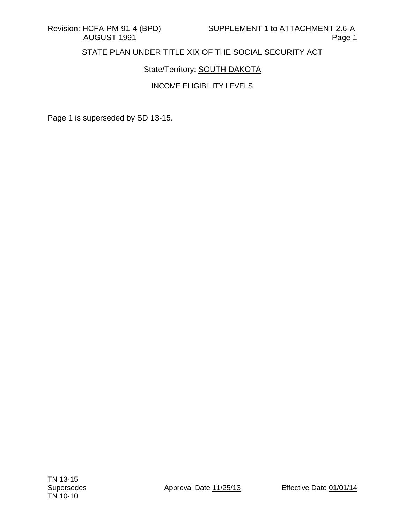# State/Territory: **SOUTH DAKOTA**

### INCOME ELIGIBILITY LEVELS

Page 1 is superseded by SD 13-15.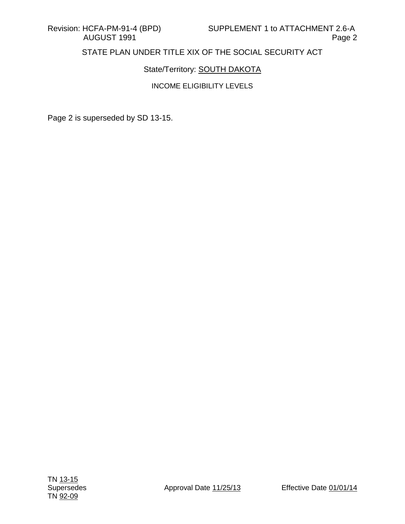# State/Territory: **SOUTH DAKOTA**

### INCOME ELIGIBILITY LEVELS

Page 2 is superseded by SD 13-15.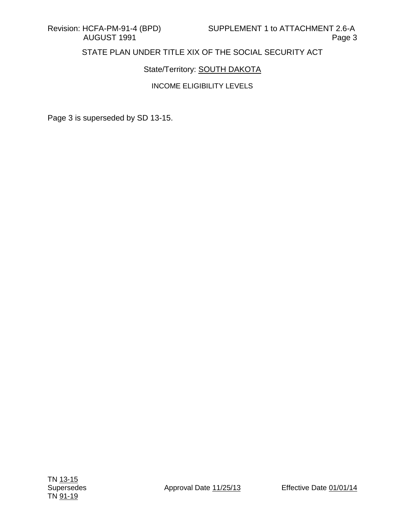# State/Territory: **SOUTH DAKOTA**

### INCOME ELIGIBILITY LEVELS

Page 3 is superseded by SD 13-15.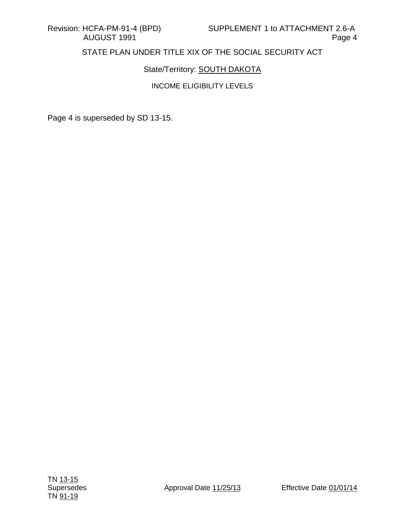# State/Territory: **SOUTH DAKOTA**

### INCOME ELIGIBILITY LEVELS

Page 4 is superseded by SD 13-15.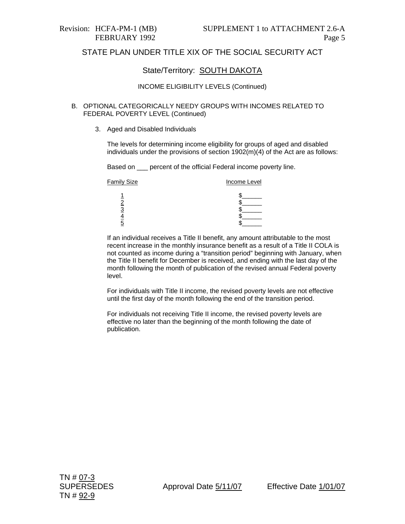### State/Territory: SOUTH DAKOTA

#### INCOME ELIGIBILITY LEVELS (Continued)

#### B. OPTIONAL CATEGORICALLY NEEDY GROUPS WITH INCOMES RELATED TO FEDERAL POVERTY LEVEL (Continued)

3. Aged and Disabled Individuals

The levels for determining income eligibility for groups of aged and disabled individuals under the provisions of section  $1902(m)(4)$  of the Act are as follows:

Based on \_\_\_ percent of the official Federal income poverty line.

| <b>Family Size</b> | Income Level |  |
|--------------------|--------------|--|
|                    |              |  |
|                    |              |  |
|                    |              |  |
|                    |              |  |
|                    |              |  |

If an individual receives a Title II benefit, any amount attributable to the most recent increase in the monthly insurance benefit as a result of a Title II COLA is not counted as income during a "transition period" beginning with January, when the Title II benefit for December is received, and ending with the last day of the month following the month of publication of the revised annual Federal poverty level.

For individuals with Title II income, the revised poverty levels are not effective until the first day of the month following the end of the transition period.

For individuals not receiving Title II income, the revised poverty levels are effective no later than the beginning of the month following the date of publication.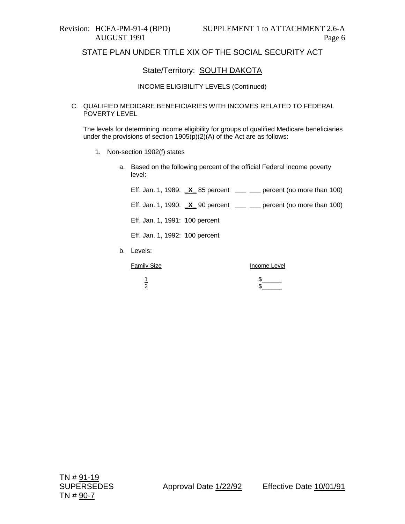### State/Territory: **SOUTH DAKOTA**

#### INCOME ELIGIBILITY LEVELS (Continued)

#### C. QUALIFIED MEDICARE BENEFICIARIES WITH INCOMES RELATED TO FEDERAL POVERTY LEVEL

The levels for determining income eligibility for groups of qualified Medicare beneficiaries under the provisions of section 1905(p)(2)(A) of the Act are as follows:

- 1. Non-section 1902(f) states
	- a. Based on the following percent of the official Federal income poverty level:

Eff. Jan. 1, 1989: **\_X\_** 85 percent **\_\_\_ \_\_\_** percent (no more than 100)

Eff. Jan. 1, 1990: **\_X\_** 90 percent **\_\_\_ \_\_\_** percent (no more than 100)

Eff. Jan. 1, 1991: 100 percent

Eff. Jan. 1, 1992: 100 percent

b. Levels:

Family Size **Income Level** 

 $\overline{1}$   $\overline{\phantom{1}}$  $\frac{2}{3}$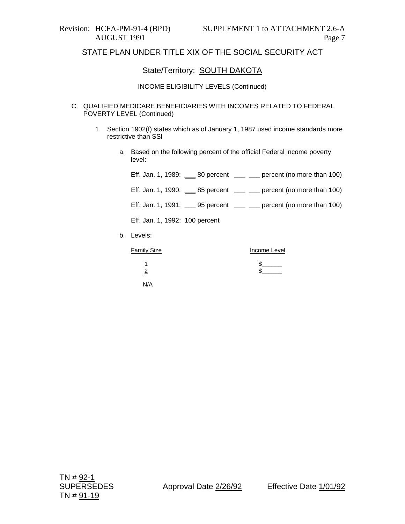### State/Territory: **SOUTH DAKOTA**

#### INCOME ELIGIBILITY LEVELS (Continued)

- C. QUALIFIED MEDICARE BENEFICIARIES WITH INCOMES RELATED TO FEDERAL POVERTY LEVEL (Continued)
	- 1. Section 1902(f) states which as of January 1, 1987 used income standards more restrictive than SSI

1 \$ <u>2</u> \$

a. Based on the following percent of the official Federal income poverty level:

| Eff. Jan. 1, 1989: $\_\_\_\_$ 80 percent $\_\_\_\_\_\_\$ percent (no more than 100) |              |
|-------------------------------------------------------------------------------------|--------------|
| Eff. Jan. 1, 1990: ____ 85 percent $\_{\_}$ ___ percent (no more than 100)          |              |
| Eff. Jan. 1, 1991: $\_\_$ 95 percent $\_\_$ $\_\_$ percent (no more than 100)       |              |
| Eff. Jan. 1, 1992: 100 percent                                                      |              |
| b. Levels:                                                                          |              |
| <b>Family Size</b>                                                                  | Income Level |

N/A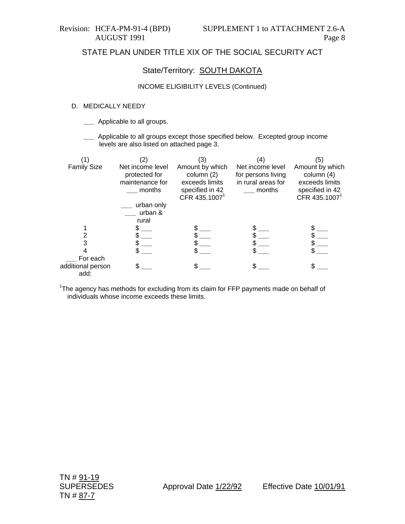### State/Territory: **SOUTH DAKOTA**

#### INCOME ELIGIBILITY LEVELS (Continued)

#### D. MEDICALLY NEEDY

- **\_\_\_** Applicable to all groups.
- **\_\_\_** Applicable to all groups except those specified below. Excepted group income levels are also listed on attached page 3.

|                           | (2)                                                            | (3)                                                                                             | $\left( 4\right)$                                                      | (5)                                                                                             |
|---------------------------|----------------------------------------------------------------|-------------------------------------------------------------------------------------------------|------------------------------------------------------------------------|-------------------------------------------------------------------------------------------------|
| <b>Family Size</b>        | Net income level<br>protected for<br>maintenance for<br>months | Amount by which<br>column (2)<br>exceeds limits<br>specified in 42<br>CFR 435.1007 <sup>1</sup> | Net income level<br>for persons living<br>in rural areas for<br>months | Amount by which<br>column (4)<br>exceeds limits<br>specified in 42<br>CFR 435.1007 <sup>1</sup> |
|                           | urban only<br>urban &                                          |                                                                                                 |                                                                        |                                                                                                 |
|                           | rural                                                          |                                                                                                 |                                                                        |                                                                                                 |
|                           |                                                                |                                                                                                 |                                                                        |                                                                                                 |
|                           |                                                                |                                                                                                 |                                                                        |                                                                                                 |
| 3                         |                                                                |                                                                                                 |                                                                        |                                                                                                 |
|                           |                                                                |                                                                                                 |                                                                        |                                                                                                 |
| For each                  |                                                                |                                                                                                 |                                                                        |                                                                                                 |
| additional person<br>add: |                                                                |                                                                                                 |                                                                        |                                                                                                 |

<sup>1</sup>The agency has methods for excluding from its claim for FFP payments made on behalf of individuals whose income exceeds these limits.